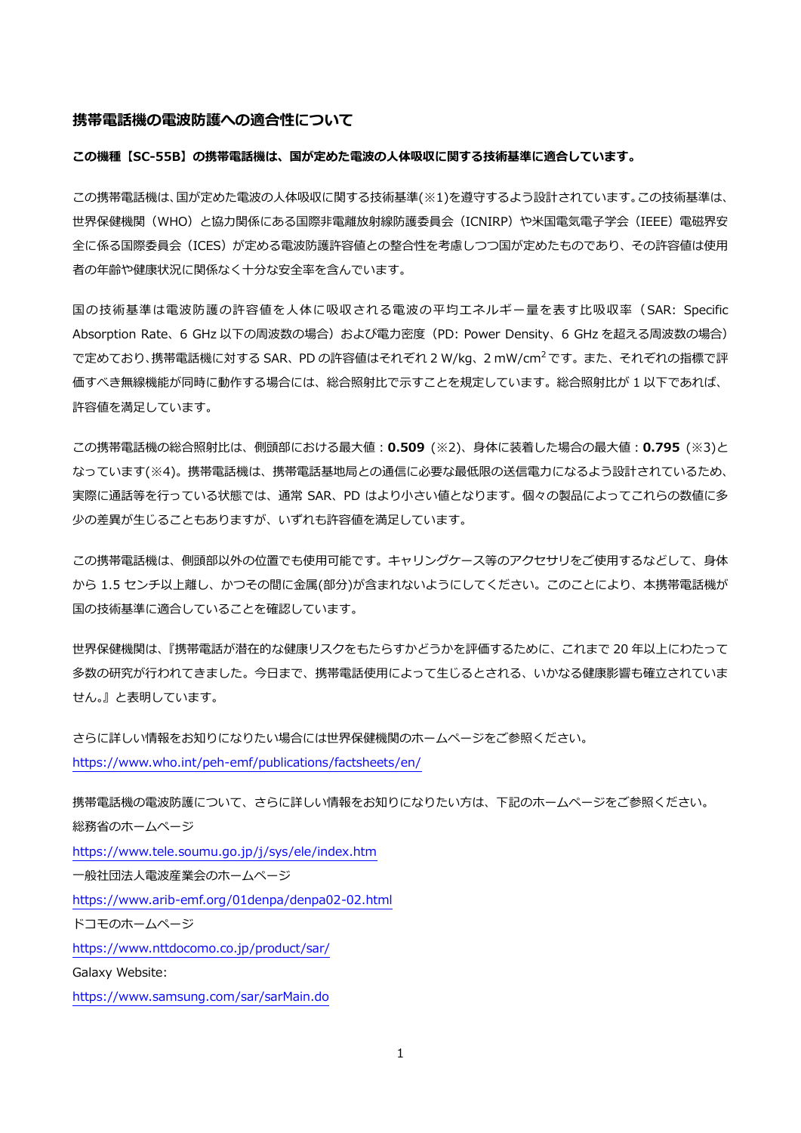#### **携帯電話機の電波防護への適合性について**

#### **この機種【SC-55B】の携帯電話機は、国が定めた電波の人体吸収に関する技術基準に適合しています。**

この携帯電話機は、国が定めた電波の人体吸収に関する技術基準(※1)を遵守するよう設計されています。この技術基準は、 世界保健機関(WHO)と協力関係にある国際非電離放射線防護委員会(ICNIRP)や米国電気電子学会(IEEE)電磁界安 全に係る国際委員会(ICES)が定める電波防護許容値との整合性を考慮しつつ国が定めたものであり、その許容値は使用 者の年齢や健康状況に関係なく十分な安全率を含んでいます。

国の技術基準は電波防護の許容値を人体に吸収される電波の平均エネルギー量を表す比吸収率(SAR: Specific Absorption Rate、6 GHz 以下の周波数の場合)および電力密度 (PD: Power Density、6 GHz を超える周波数の場合) で定めており、携帯電話機に対する SAR、PD の許容値はそれぞれ 2 W/kg、2 mW/cm<sup>2</sup> です。 また、 それぞれの指標で評 価すべき無線機能が同時に動作する場合には、総合照射比で示すことを規定しています。総合照射比が 1 以下であれば、 許容値を満足しています。

この携帯電話機の総合照射比は、側頭部における最大値:**0.509** (※2)、身体に装着した場合の最大値:**0.795** (※3)と なっています(※4)。携帯電話機は、携帯電話基地局との通信に必要な最低限の送信電力になるよう設計されているため、 実際に通話等を行っている状態では、通常 SAR、PD はより小さい値となります。個々の製品によってこれらの数値に多 少の差異が生じることもありますが、いずれも許容値を満足しています。

この携帯電話機は、側頭部以外の位置でも使用可能です。キャリングケース等のアクセサリをご使用するなどして、身体 から 1.5 センチ以上離し、かつその間に金属(部分)が含まれないようにしてください。このことにより、本携帯電話機が 国の技術基準に適合していることを確認しています。

世界保健機関は、『携帯電話が潜在的な健康リスクをもたらすかどうかを評価するために、これまで 20 年以上にわたって 多数の研究が行われてきました。今日まで、携帯電話使用によって生じるとされる、いかなる健康影響も確立されていま せん。』と表明しています。

さらに詳しい情報をお知りになりたい場合には世界保健機関のホームページをご参照ください。 https://www.who.int/peh-[emf/publications/factsheets/en/](https://www.who.int/peh-emf/publications/factsheets/en/)

携帯電話機の電波防護について、さらに詳しい情報をお知りになりたい方は、下記のホームページをご参照ください。 総務省のホームページ <https://www.tele.soumu.go.jp/j/sys/ele/index.htm> 一般社団法人電波産業会のホームページ https://www.arib-[emf.org/01denpa/denpa02](https://www.arib-emf.org/01denpa/denpa02-02.html)-02.html ドコモのホームページ <https://www.nttdocomo.co.jp/product/sar/> Galaxy Website: <https://www.samsung.com/sar/sarMain.do>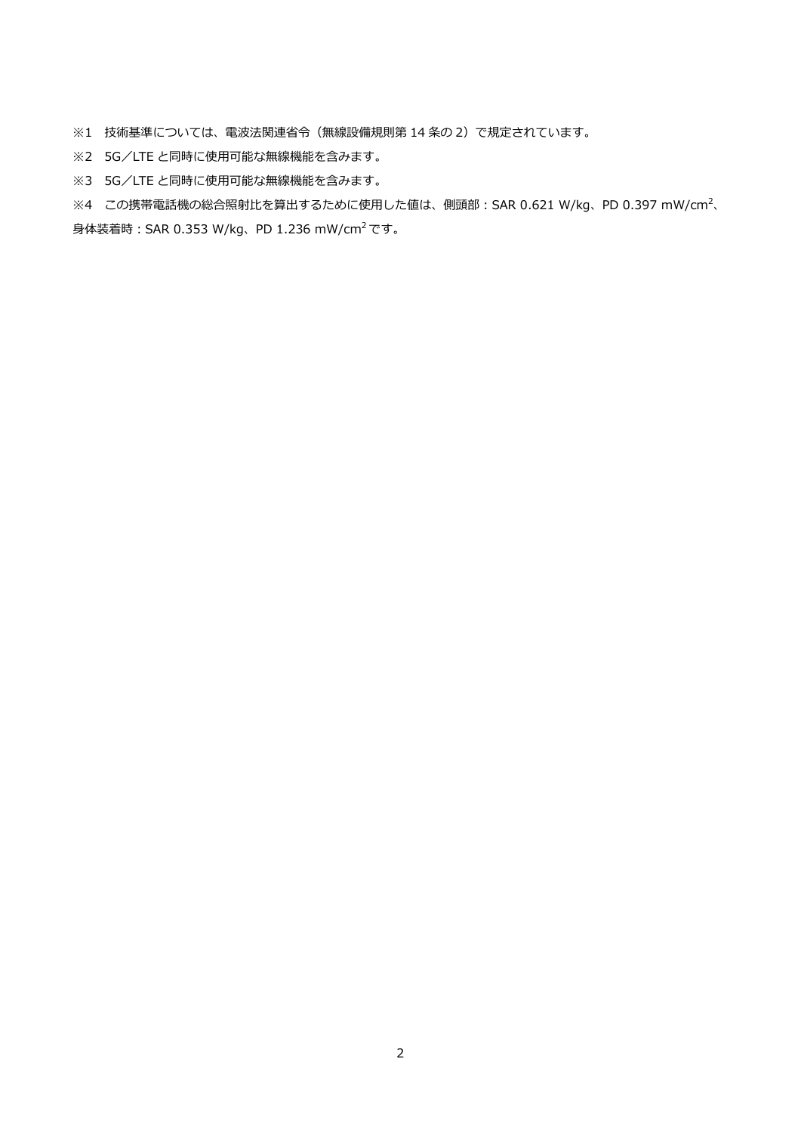※1 技術基準については、電波法関連省令(無線設備規則第 14 条の 2)で規定されています。

- ※2 5G/LTE と同時に使用可能な無線機能を含みます。
- ※3 5G/LTE と同時に使用可能な無線機能を含みます。

 $\%4$  この携帯電話機の総合照射比を算出するために使用した値は、側頭部: SAR 0.621 W/kg、PD 0.397 mW/cm<sup>2</sup>、 身体装着時:SAR 0.353 W/kg、PD 1.236 mW/cm<sup>2</sup> です。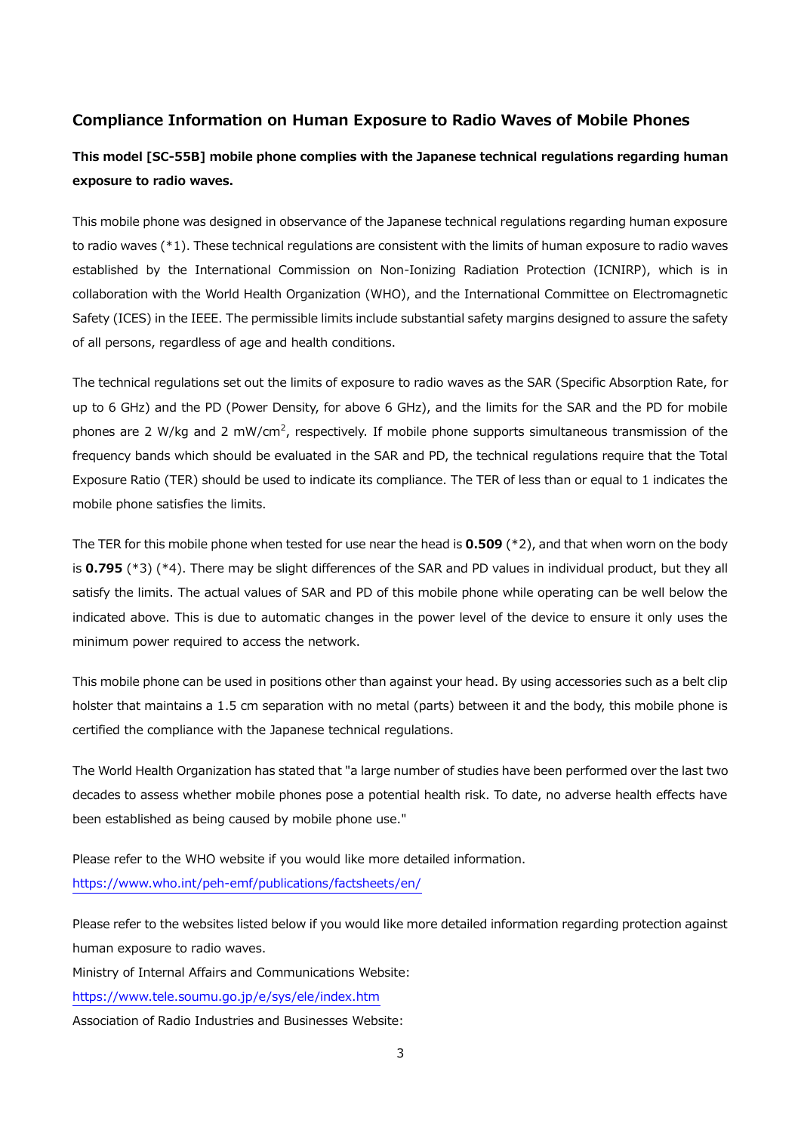# **Compliance Information on Human Exposure to Radio Waves of Mobile Phones**

# **This model [SC-55B] mobile phone complies with the Japanese technical regulations regarding human exposure to radio waves.**

This mobile phone was designed in observance of the Japanese technical regulations regarding human exposure to radio waves (\*1). These technical regulations are consistent with the limits of human exposure to radio waves established by the International Commission on Non-Ionizing Radiation Protection (ICNIRP), which is in collaboration with the World Health Organization (WHO), and the International Committee on Electromagnetic Safety (ICES) in the IEEE. The permissible limits include substantial safety margins designed to assure the safety of all persons, regardless of age and health conditions.

The technical regulations set out the limits of exposure to radio waves as the SAR (Specific Absorption Rate, for up to 6 GHz) and the PD (Power Density, for above 6 GHz), and the limits for the SAR and the PD for mobile phones are 2 W/kg and 2 mW/cm<sup>2</sup>, respectively. If mobile phone supports simultaneous transmission of the frequency bands which should be evaluated in the SAR and PD, the technical regulations require that the Total Exposure Ratio (TER) should be used to indicate its compliance. The TER of less than or equal to 1 indicates the mobile phone satisfies the limits.

The TER for this mobile phone when tested for use near the head is **0.509** (\*2), and that when worn on the body is **0.795** (\*3) (\*4). There may be slight differences of the SAR and PD values in individual product, but they all satisfy the limits. The actual values of SAR and PD of this mobile phone while operating can be well below the indicated above. This is due to automatic changes in the power level of the device to ensure it only uses the minimum power required to access the network.

This mobile phone can be used in positions other than against your head. By using accessories such as a belt clip holster that maintains a 1.5 cm separation with no metal (parts) between it and the body, this mobile phone is certified the compliance with the Japanese technical regulations.

The World Health Organization has stated that "a large number of studies have been performed over the last two decades to assess whether mobile phones pose a potential health risk. To date, no adverse health effects have been established as being caused by mobile phone use."

Please refer to the WHO website if you would like more detailed information. https://www.who.int/peh-[emf/publications/factsheets/en/](https://www.who.int/peh-emf/publications/factsheets/en/)

Please refer to the websites listed below if you would like more detailed information regarding protection against human exposure to radio waves.

Ministry of Internal Affairs and Communications Website:

<https://www.tele.soumu.go.jp/e/sys/ele/index.htm>

Association of Radio Industries and Businesses Website: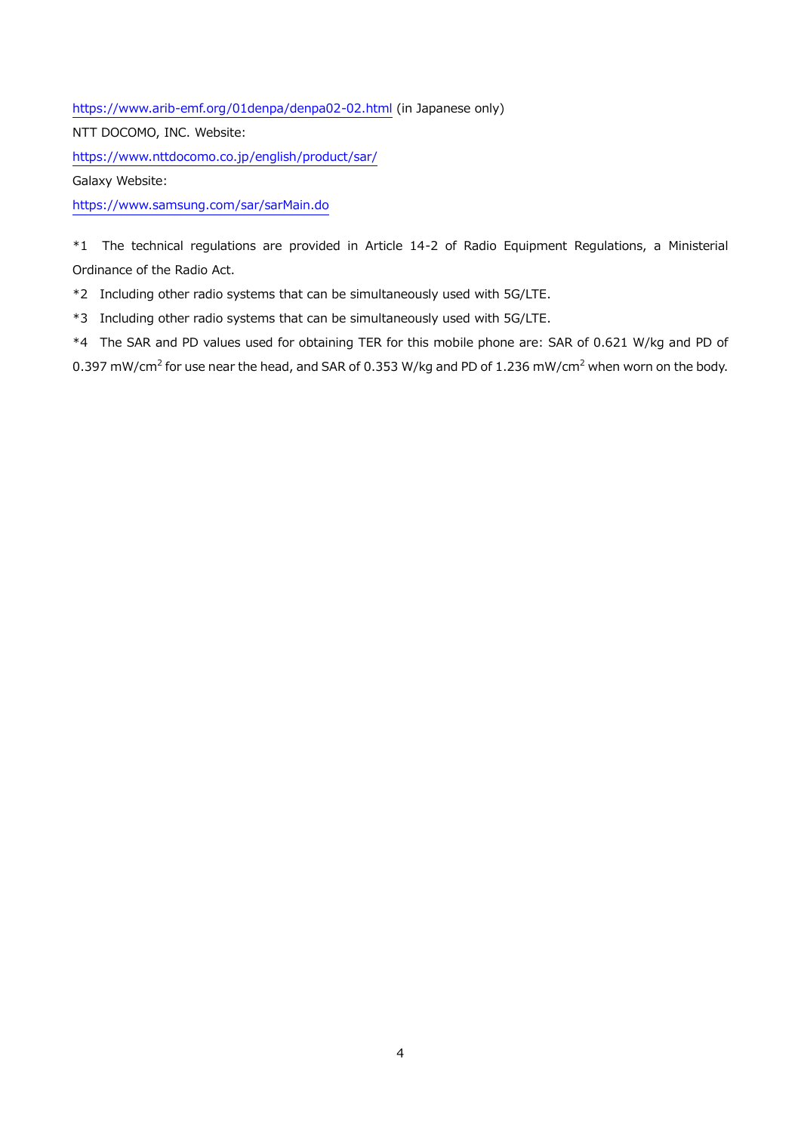https://www.arib-[emf.org/01denpa/denpa02](https://www.arib-emf.org/01denpa/denpa02-02.html)-02.html (in Japanese only)

NTT DOCOMO, INC. Website:

<https://www.nttdocomo.co.jp/english/product/sar/>

Galaxy Website:

<https://www.samsung.com/sar/sarMain.do>

\*1 The technical regulations are provided in Article 14-2 of Radio Equipment Regulations, a Ministerial Ordinance of the Radio Act.

\*2 Including other radio systems that can be simultaneously used with 5G/LTE.

\*3 Including other radio systems that can be simultaneously used with 5G/LTE.

\*4 The SAR and PD values used for obtaining TER for this mobile phone are: SAR of 0.621 W/kg and PD of 0.397 mW/cm<sup>2</sup> for use near the head, and SAR of 0.353 W/kg and PD of 1.236 mW/cm<sup>2</sup> when worn on the body.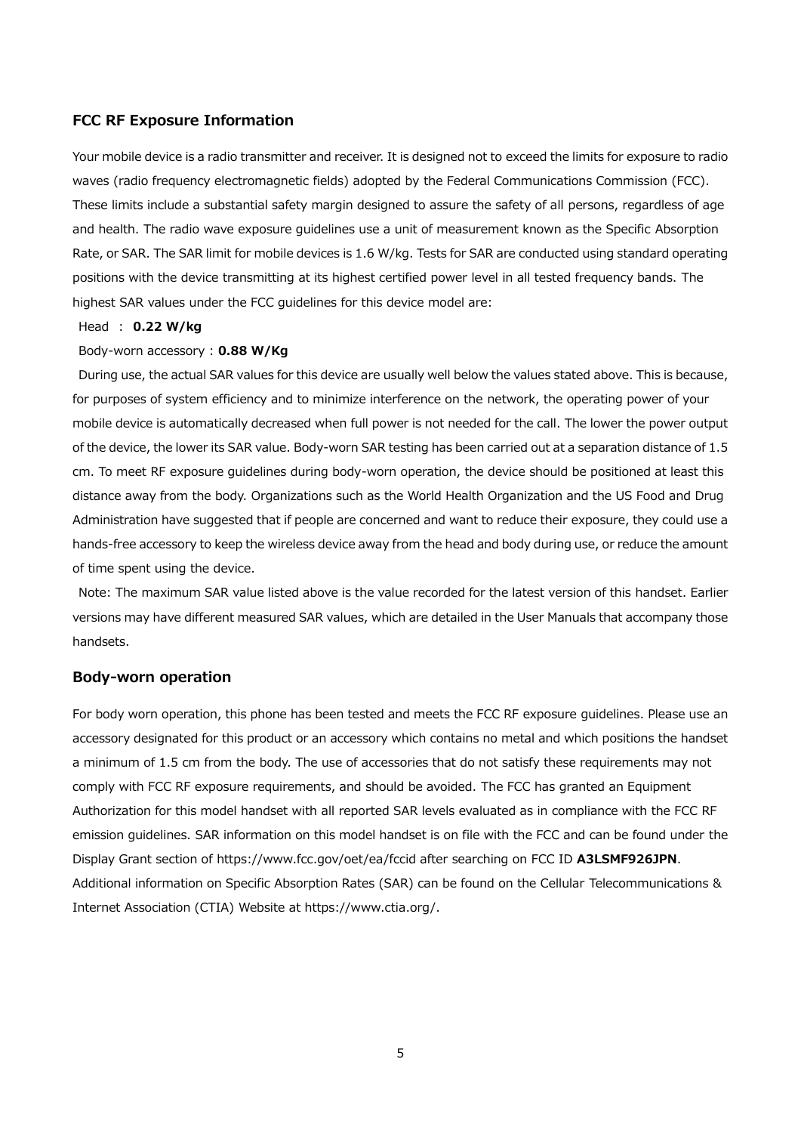# **FCC RF Exposure Information**

Your mobile device is a radio transmitter and receiver. It is designed not to exceed the limits for exposure to radio waves (radio frequency electromagnetic fields) adopted by the Federal Communications Commission (FCC). These limits include a substantial safety margin designed to assure the safety of all persons, regardless of age and health. The radio wave exposure guidelines use a unit of measurement known as the Specific Absorption Rate, or SAR. The SAR limit for mobile devices is 1.6 W/kg. Tests for SAR are conducted using standard operating positions with the device transmitting at its highest certified power level in all tested frequency bands. The highest SAR values under the FCC guidelines for this device model are:

#### Head : **0.22 W/kg**

### Body-worn accessory : **0.88 W/Kg**

During use, the actual SAR values for this device are usually well below the values stated above. This is because, for purposes of system efficiency and to minimize interference on the network, the operating power of your mobile device is automatically decreased when full power is not needed for the call. The lower the power output of the device, the lower its SAR value. Body-worn SAR testing has been carried out at a separation distance of 1.5 cm. To meet RF exposure guidelines during body-worn operation, the device should be positioned at least this distance away from the body. Organizations such as the World Health Organization and the US Food and Drug Administration have suggested that if people are concerned and want to reduce their exposure, they could use a hands-free accessory to keep the wireless device away from the head and body during use, or reduce the amount of time spent using the device.

Note: The maximum SAR value listed above is the value recorded for the latest version of this handset. Earlier versions may have different measured SAR values, which are detailed in the User Manuals that accompany those handsets.

#### **Body-worn operation**

For body worn operation, this phone has been tested and meets the FCC RF exposure guidelines. Please use an accessory designated for this product or an accessory which contains no metal and which positions the handset a minimum of 1.5 cm from the body. The use of accessories that do not satisfy these requirements may not comply with FCC RF exposure requirements, and should be avoided. The FCC has granted an Equipment Authorization for this model handset with all reported SAR levels evaluated as in compliance with the FCC RF emission guidelines. SAR information on this model handset is on file with the FCC and can be found under the Display Grant section of https://www.fcc.gov/oet/ea/fccid after searching on FCC ID **A3LSMF926JPN**. Additional information on Specific Absorption Rates (SAR) can be found on the Cellular Telecommunications & Internet Association (CTIA) Website at https://www.ctia.org/.